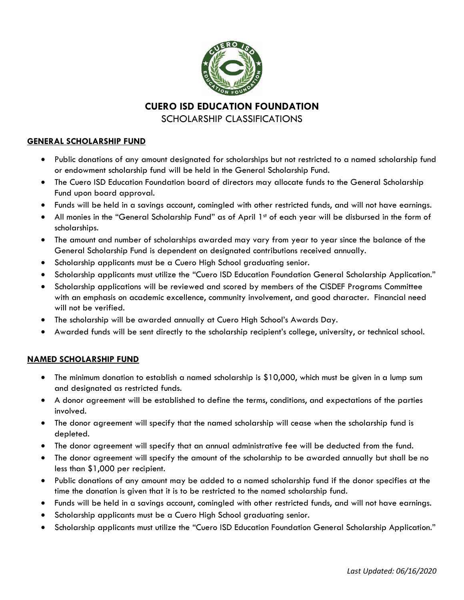

**CUERO ISD EDUCATION FOUNDATION**

SCHOLARSHIP CLASSIFICATIONS

## **GENERAL SCHOLARSHIP FUND**

- Public donations of any amount designated for scholarships but not restricted to a named scholarship fund or endowment scholarship fund will be held in the General Scholarship Fund.
- The Cuero ISD Education Foundation board of directors may allocate funds to the General Scholarship Fund upon board approval.
- Funds will be held in a savings account, comingled with other restricted funds, and will not have earnings.
- All monies in the "General Scholarship Fund" as of April 1st of each year will be disbursed in the form of scholarships.
- The amount and number of scholarships awarded may vary from year to year since the balance of the General Scholarship Fund is dependent on designated contributions received annually.
- Scholarship applicants must be a Cuero High School graduating senior.
- Scholarship applicants must utilize the "Cuero ISD Education Foundation General Scholarship Application."
- Scholarship applications will be reviewed and scored by members of the CISDEF Programs Committee with an emphasis on academic excellence, community involvement, and good character. Financial need will not be verified.
- The scholarship will be awarded annually at Cuero High School's Awards Day.
- Awarded funds will be sent directly to the scholarship recipient's college, university, or technical school.

## **NAMED SCHOLARSHIP FUND**

- The minimum donation to establish a named scholarship is \$10,000, which must be given in a lump sum and designated as restricted funds.
- A donor agreement will be established to define the terms, conditions, and expectations of the parties involved.
- The donor agreement will specify that the named scholarship will cease when the scholarship fund is depleted.
- The donor agreement will specify that an annual administrative fee will be deducted from the fund.
- The donor agreement will specify the amount of the scholarship to be awarded annually but shall be no less than \$1,000 per recipient.
- Public donations of any amount may be added to a named scholarship fund if the donor specifies at the time the donation is given that it is to be restricted to the named scholarship fund.
- Funds will be held in a savings account, comingled with other restricted funds, and will not have earnings.
- Scholarship applicants must be a Cuero High School graduating senior.
- Scholarship applicants must utilize the "Cuero ISD Education Foundation General Scholarship Application."